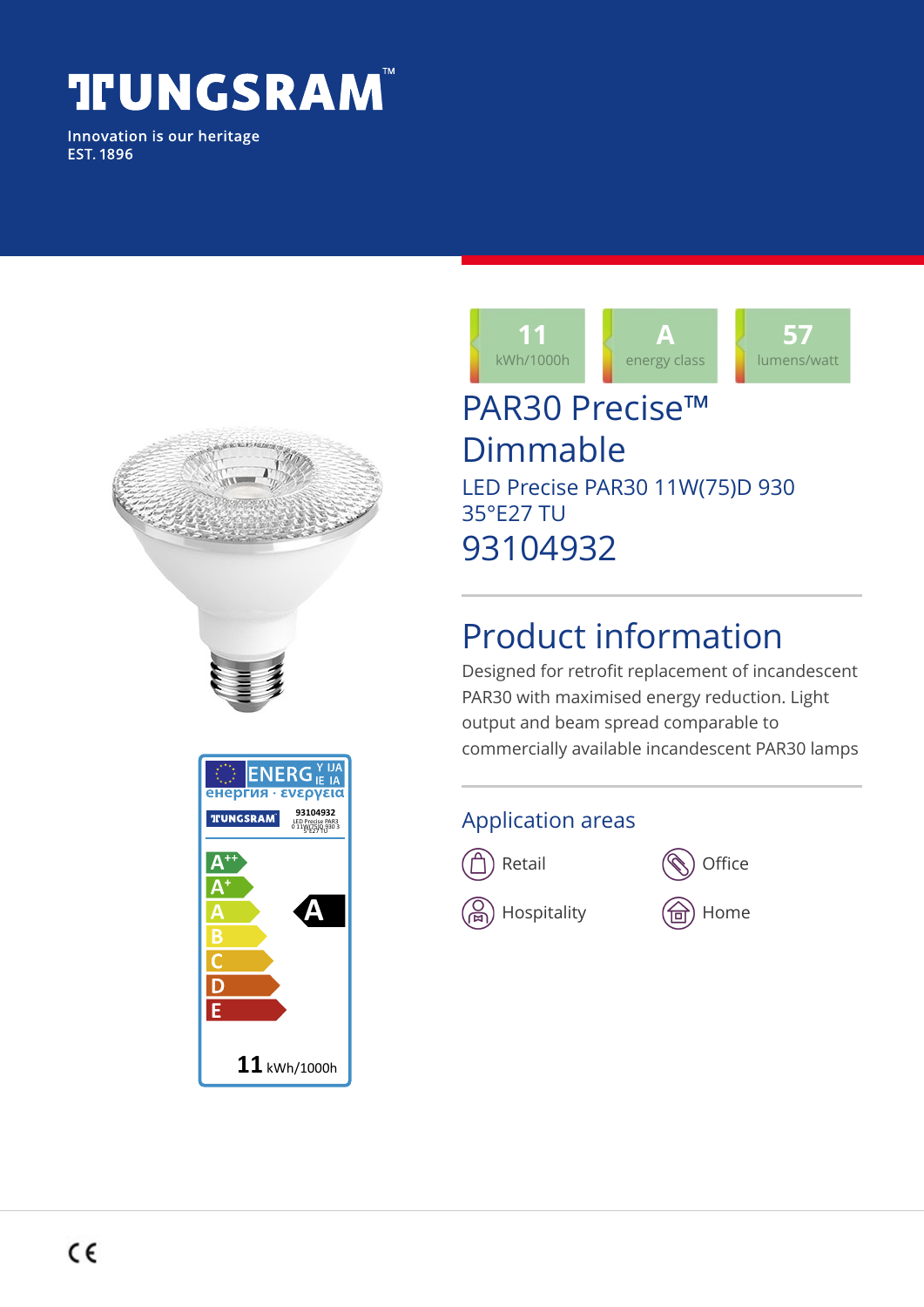# **TUNGSRAM®**

Innovation is our heritage **EST. 1896** 

| in 1979.<br>Manazarta |                                                                                                           |
|-----------------------|-----------------------------------------------------------------------------------------------------------|
|                       |                                                                                                           |
|                       | $\overline{\mathbb{C}}$ <b>ENERG</b> <sup>ү нд</sup><br>енергия • ενεργεια<br>93104932<br><b>TUNGSRAM</b> |
|                       | LED Precise PAR3<br>0 11W(75)D 930 3                                                                      |
|                       |                                                                                                           |
|                       | Ē                                                                                                         |
|                       | $\mathbf{11}$ kWh/1000h                                                                                   |



## PAR30 Precise™ Dimmable LED Precise PAR30 11W(75)D 930 35°E27 TU 93104932

# Product information

Designed for retrofit replacement of incandescent PAR30 with maximised energy reduction. Light output and beam spread comparable to commercially available incandescent PAR30 lamps

#### Application areas





 $\mathcal{L}_\mathbf{m}$ ) Hospitality  $\mathcal{L}_\mathbf{m}$  Home

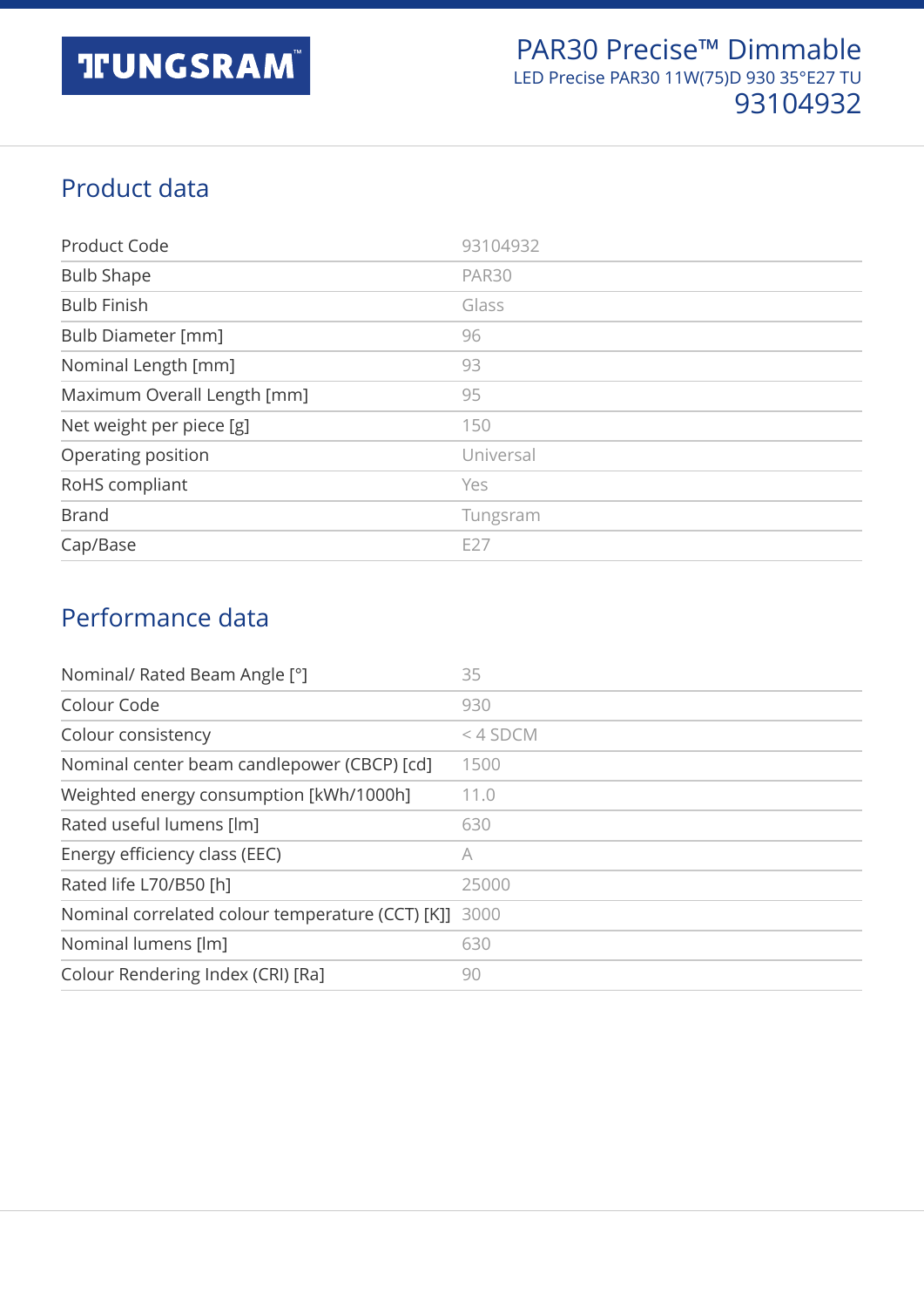#### Product data

| Product Code                | 93104932     |
|-----------------------------|--------------|
| <b>Bulb Shape</b>           | <b>PAR30</b> |
| <b>Bulb Finish</b>          | Glass        |
| Bulb Diameter [mm]          | 96           |
| Nominal Length [mm]         | 93           |
| Maximum Overall Length [mm] | 95           |
| Net weight per piece [g]    | 150          |
| Operating position          | Universal    |
| RoHS compliant              | Yes          |
| <b>Brand</b>                | Tungsram     |
| Cap/Base                    | E27          |

#### Performance data

| Nominal/ Rated Beam Angle [°]                         | 35         |
|-------------------------------------------------------|------------|
| Colour Code                                           | 930        |
| Colour consistency                                    | $<$ 4 SDCM |
| Nominal center beam candlepower (CBCP) [cd]           | 1500       |
| Weighted energy consumption [kWh/1000h]               | 11.0       |
| Rated useful lumens [lm]                              | 630        |
| Energy efficiency class (EEC)                         | A          |
| Rated life L70/B50 [h]                                | 25000      |
| Nominal correlated colour temperature (CCT) [K]] 3000 |            |
| Nominal lumens [lm]                                   | 630        |
| Colour Rendering Index (CRI) [Ra]                     | 90         |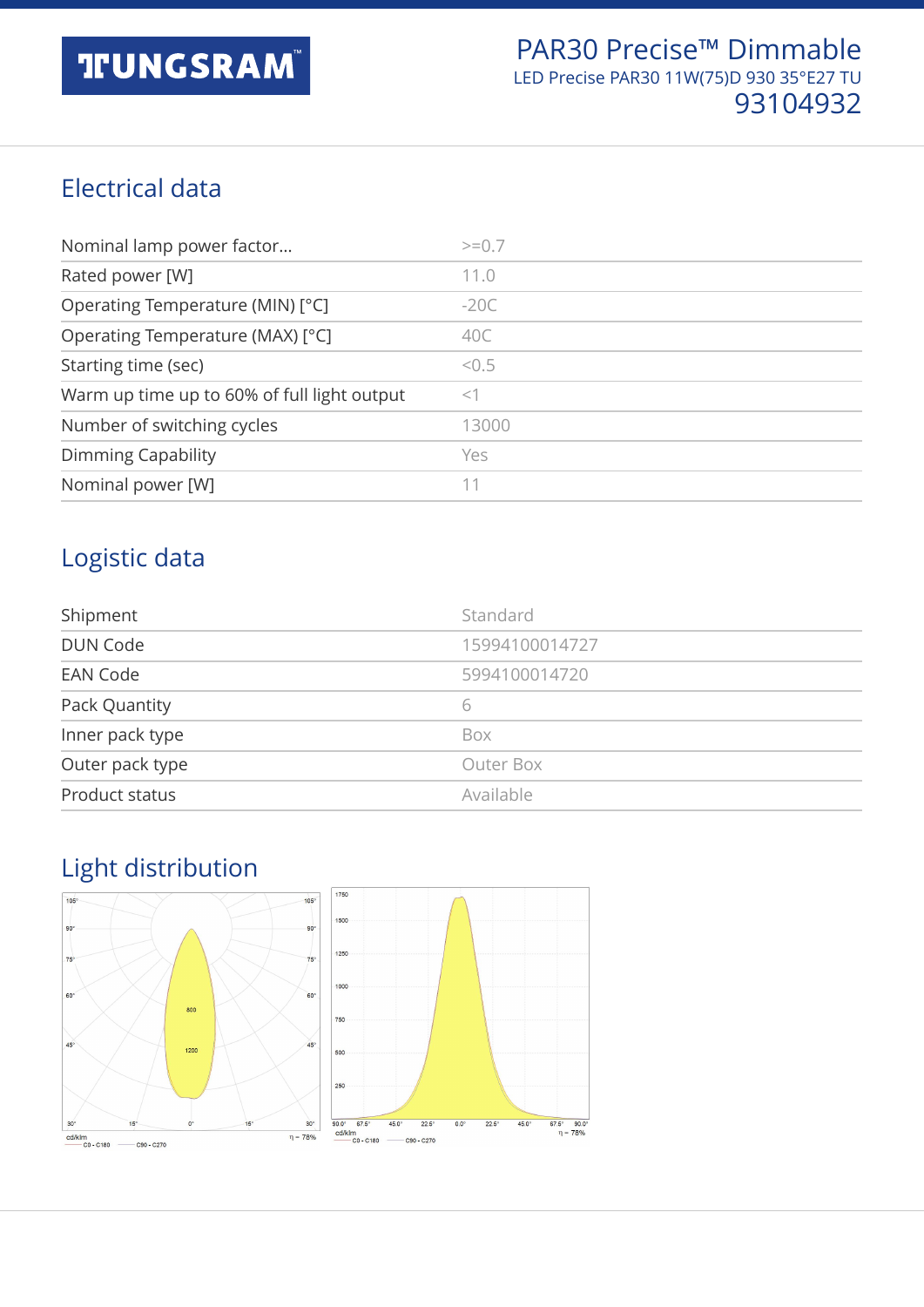#### Electrical data

| Nominal lamp power factor                   | $>=0.7$ |
|---------------------------------------------|---------|
| Rated power [W]                             | 11.0    |
| Operating Temperature (MIN) [°C]            | $-20C$  |
| Operating Temperature (MAX) [°C]            | 40C     |
| Starting time (sec)                         | < 0.5   |
| Warm up time up to 60% of full light output | $<$ 1   |
| Number of switching cycles                  | 13000   |
| Dimming Capability                          | Yes     |
| Nominal power [W]                           | 11      |

#### Logistic data

| Shipment        | Standard       |
|-----------------|----------------|
| <b>DUN Code</b> | 15994100014727 |
| <b>EAN Code</b> | 5994100014720  |
| Pack Quantity   | 6              |
| Inner pack type | Box            |
| Outer pack type | Outer Box      |
| Product status  | Available      |

### Light distribution